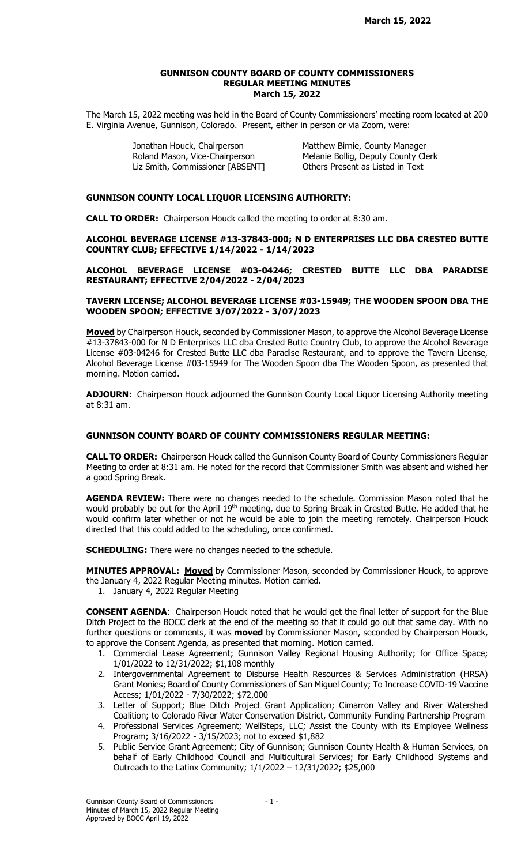#### GUNNISON COUNTY BOARD OF COUNTY COMMISSIONERS REGULAR MEETING MINUTES March 15, 2022

The March 15, 2022 meeting was held in the Board of County Commissioners' meeting room located at 200 E. Virginia Avenue, Gunnison, Colorado. Present, either in person or via Zoom, were:

> Jonathan Houck, Chairperson Matthew Birnie, County Manager Liz Smith, Commissioner [ABSENT] Others Present as Listed in Text

Roland Mason, Vice-Chairperson Melanie Bollig, Deputy County Clerk

# GUNNISON COUNTY LOCAL LIQUOR LICENSING AUTHORITY:

CALL TO ORDER: Chairperson Houck called the meeting to order at 8:30 am.

ALCOHOL BEVERAGE LICENSE #13-37843-000; N D ENTERPRISES LLC DBA CRESTED BUTTE COUNTRY CLUB; EFFECTIVE 1/14/2022 - 1/14/2023

ALCOHOL BEVERAGE LICENSE #03-04246; CRESTED BUTTE LLC DBA PARADISE RESTAURANT; EFFECTIVE 2/04/2022 - 2/04/2023

#### TAVERN LICENSE; ALCOHOL BEVERAGE LICENSE #03-15949; THE WOODEN SPOON DBA THE WOODEN SPOON; EFFECTIVE 3/07/2022 - 3/07/2023

Moved by Chairperson Houck, seconded by Commissioner Mason, to approve the Alcohol Beverage License #13-37843-000 for N D Enterprises LLC dba Crested Butte Country Club, to approve the Alcohol Beverage License #03-04246 for Crested Butte LLC dba Paradise Restaurant, and to approve the Tavern License, Alcohol Beverage License #03-15949 for The Wooden Spoon dba The Wooden Spoon, as presented that morning. Motion carried.

ADJOURN: Chairperson Houck adjourned the Gunnison County Local Liquor Licensing Authority meeting at  $8:31$  am.

## GUNNISON COUNTY BOARD OF COUNTY COMMISSIONERS REGULAR MEETING:

CALL TO ORDER: Chairperson Houck called the Gunnison County Board of County Commissioners Regular Meeting to order at 8:31 am. He noted for the record that Commissioner Smith was absent and wished her a good Spring Break.

AGENDA REVIEW: There were no changes needed to the schedule. Commission Mason noted that he would probably be out for the April 19th meeting, due to Spring Break in Crested Butte. He added that he would confirm later whether or not he would be able to join the meeting remotely. Chairperson Houck directed that this could added to the scheduling, once confirmed.

**SCHEDULING:** There were no changes needed to the schedule.

**MINUTES APPROVAL: Moved** by Commissioner Mason, seconded by Commissioner Houck, to approve the January 4, 2022 Regular Meeting minutes. Motion carried.

1. January 4, 2022 Regular Meeting

CONSENT AGENDA: Chairperson Houck noted that he would get the final letter of support for the Blue Ditch Project to the BOCC clerk at the end of the meeting so that it could go out that same day. With no further questions or comments, it was **moved** by Commissioner Mason, seconded by Chairperson Houck, to approve the Consent Agenda, as presented that morning. Motion carried.

- 1. Commercial Lease Agreement; Gunnison Valley Regional Housing Authority; for Office Space; 1/01/2022 to 12/31/2022; \$1,108 monthly
- 2. Intergovernmental Agreement to Disburse Health Resources & Services Administration (HRSA) Grant Monies; Board of County Commissioners of San Miguel County; To Increase COVID-19 Vaccine Access; 1/01/2022 - 7/30/2022; \$72,000
- 3. Letter of Support; Blue Ditch Project Grant Application; Cimarron Valley and River Watershed Coalition; to Colorado River Water Conservation District, Community Funding Partnership Program
- 4. Professional Services Agreement; WellSteps, LLC; Assist the County with its Employee Wellness Program; 3/16/2022 - 3/15/2023; not to exceed \$1,882
- 5. Public Service Grant Agreement; City of Gunnison; Gunnison County Health & Human Services, on behalf of Early Childhood Council and Multicultural Services; for Early Childhood Systems and Outreach to the Latinx Community; 1/1/2022 – 12/31/2022; \$25,000

Gunnison County Board of Commissioners - 1 -Minutes of March 15, 2022 Regular Meeting Approved by BOCC April 19, 2022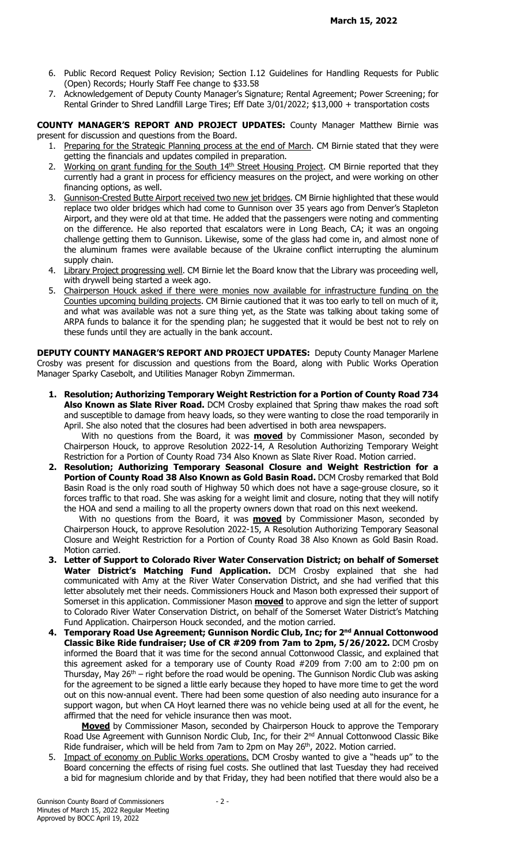- 6. Public Record Request Policy Revision; Section I.12 Guidelines for Handling Requests for Public (Open) Records; Hourly Staff Fee change to \$33.58
- 7. Acknowledgement of Deputy County Manager's Signature; Rental Agreement; Power Screening; for Rental Grinder to Shred Landfill Large Tires; Eff Date 3/01/2022; \$13,000 + transportation costs

COUNTY MANAGER'S REPORT AND PROJECT UPDATES: County Manager Matthew Birnie was present for discussion and questions from the Board.

- 1. Preparing for the Strategic Planning process at the end of March. CM Birnie stated that they were getting the financials and updates compiled in preparation.
- 2. Working on grant funding for the South 14<sup>th</sup> Street Housing Project. CM Birnie reported that they currently had a grant in process for efficiency measures on the project, and were working on other financing options, as well.
- 3. Gunnison-Crested Butte Airport received two new jet bridges. CM Birnie highlighted that these would replace two older bridges which had come to Gunnison over 35 years ago from Denver's Stapleton Airport, and they were old at that time. He added that the passengers were noting and commenting on the difference. He also reported that escalators were in Long Beach, CA; it was an ongoing challenge getting them to Gunnison. Likewise, some of the glass had come in, and almost none of the aluminum frames were available because of the Ukraine conflict interrupting the aluminum supply chain.
- 4. Library Project progressing well. CM Birnie let the Board know that the Library was proceeding well, with drywell being started a week ago.
- 5. Chairperson Houck asked if there were monies now available for infrastructure funding on the Counties upcoming building projects. CM Birnie cautioned that it was too early to tell on much of it, and what was available was not a sure thing yet, as the State was talking about taking some of ARPA funds to balance it for the spending plan; he suggested that it would be best not to rely on these funds until they are actually in the bank account.

DEPUTY COUNTY MANAGER'S REPORT AND PROJECT UPDATES: Deputy County Manager Marlene Crosby was present for discussion and questions from the Board, along with Public Works Operation Manager Sparky Casebolt, and Utilities Manager Robyn Zimmerman.

1. Resolution; Authorizing Temporary Weight Restriction for a Portion of County Road 734 Also Known as Slate River Road. DCM Crosby explained that Spring thaw makes the road soft and susceptible to damage from heavy loads, so they were wanting to close the road temporarily in April. She also noted that the closures had been advertised in both area newspapers.

With no questions from the Board, it was **moved** by Commissioner Mason, seconded by Chairperson Houck, to approve Resolution 2022-14, A Resolution Authorizing Temporary Weight Restriction for a Portion of County Road 734 Also Known as Slate River Road. Motion carried.

2. Resolution; Authorizing Temporary Seasonal Closure and Weight Restriction for a Portion of County Road 38 Also Known as Gold Basin Road. DCM Crosby remarked that Bold Basin Road is the only road south of Highway 50 which does not have a sage-grouse closure, so it forces traffic to that road. She was asking for a weight limit and closure, noting that they will notify the HOA and send a mailing to all the property owners down that road on this next weekend.

With no questions from the Board, it was **moved** by Commissioner Mason, seconded by Chairperson Houck, to approve Resolution 2022-15, A Resolution Authorizing Temporary Seasonal Closure and Weight Restriction for a Portion of County Road 38 Also Known as Gold Basin Road. Motion carried.

- 3. Letter of Support to Colorado River Water Conservation District; on behalf of Somerset Water District's Matching Fund Application. DCM Crosby explained that she had communicated with Amy at the River Water Conservation District, and she had verified that this letter absolutely met their needs. Commissioners Houck and Mason both expressed their support of Somerset in this application. Commissioner Mason **moved** to approve and sign the letter of support to Colorado River Water Conservation District, on behalf of the Somerset Water District's Matching Fund Application. Chairperson Houck seconded, and the motion carried.
- 4. Temporary Road Use Agreement; Gunnison Nordic Club, Inc; for 2<sup>nd</sup> Annual Cottonwood Classic Bike Ride fundraiser; Use of CR #209 from 7am to 2pm, 5/26/2022. DCM Crosby informed the Board that it was time for the second annual Cottonwood Classic, and explained that this agreement asked for a temporary use of County Road #209 from 7:00 am to 2:00 pm on Thursday, May  $26<sup>th</sup>$  – right before the road would be opening. The Gunnison Nordic Club was asking for the agreement to be signed a little early because they hoped to have more time to get the word out on this now-annual event. There had been some question of also needing auto insurance for a support wagon, but when CA Hoyt learned there was no vehicle being used at all for the event, he affirmed that the need for vehicle insurance then was moot.

**Moved** by Commissioner Mason, seconded by Chairperson Houck to approve the Temporary Road Use Agreement with Gunnison Nordic Club, Inc, for their 2<sup>nd</sup> Annual Cottonwood Classic Bike Ride fundraiser, which will be held from 7am to 2pm on May 26<sup>th</sup>, 2022. Motion carried.

5. Impact of economy on Public Works operations. DCM Crosby wanted to give a "heads up" to the Board concerning the effects of rising fuel costs. She outlined that last Tuesday they had received a bid for magnesium chloride and by that Friday, they had been notified that there would also be a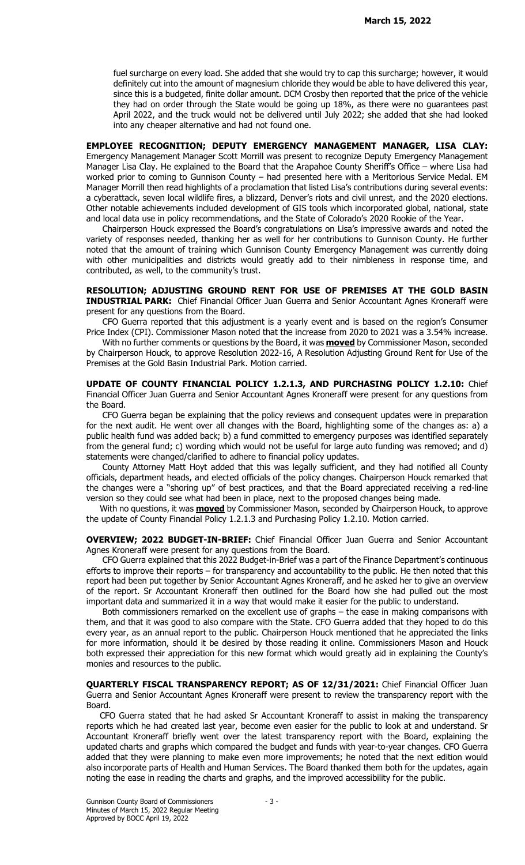fuel surcharge on every load. She added that she would try to cap this surcharge; however, it would definitely cut into the amount of magnesium chloride they would be able to have delivered this year, since this is a budgeted, finite dollar amount. DCM Crosby then reported that the price of the vehicle they had on order through the State would be going up 18%, as there were no guarantees past April 2022, and the truck would not be delivered until July 2022; she added that she had looked into any cheaper alternative and had not found one.

EMPLOYEE RECOGNITION; DEPUTY EMERGENCY MANAGEMENT MANAGER, LISA CLAY: Emergency Management Manager Scott Morrill was present to recognize Deputy Emergency Management Manager Lisa Clay. He explained to the Board that the Arapahoe County Sheriff's Office – where Lisa had worked prior to coming to Gunnison County – had presented here with a Meritorious Service Medal. EM Manager Morrill then read highlights of a proclamation that listed Lisa's contributions during several events: a cyberattack, seven local wildlife fires, a blizzard, Denver's riots and civil unrest, and the 2020 elections. Other notable achievements included development of GIS tools which incorporated global, national, state and local data use in policy recommendations, and the State of Colorado's 2020 Rookie of the Year.

 Chairperson Houck expressed the Board's congratulations on Lisa's impressive awards and noted the variety of responses needed, thanking her as well for her contributions to Gunnison County. He further noted that the amount of training which Gunnison County Emergency Management was currently doing with other municipalities and districts would greatly add to their nimbleness in response time, and contributed, as well, to the community's trust.

RESOLUTION; ADJUSTING GROUND RENT FOR USE OF PREMISES AT THE GOLD BASIN **INDUSTRIAL PARK:** Chief Financial Officer Juan Guerra and Senior Accountant Agnes Kroneraff were present for any questions from the Board.

 CFO Guerra reported that this adjustment is a yearly event and is based on the region's Consumer Price Index (CPI). Commissioner Mason noted that the increase from 2020 to 2021 was a 3.54% increase.

With no further comments or questions by the Board, it was **moved** by Commissioner Mason, seconded by Chairperson Houck, to approve Resolution 2022-16, A Resolution Adjusting Ground Rent for Use of the Premises at the Gold Basin Industrial Park. Motion carried.

UPDATE OF COUNTY FINANCIAL POLICY 1.2.1.3, AND PURCHASING POLICY 1.2.10: Chief Financial Officer Juan Guerra and Senior Accountant Agnes Kroneraff were present for any questions from the Board.

 CFO Guerra began be explaining that the policy reviews and consequent updates were in preparation for the next audit. He went over all changes with the Board, highlighting some of the changes as: a) a public health fund was added back; b) a fund committed to emergency purposes was identified separately from the general fund; c) wording which would not be useful for large auto funding was removed; and d) statements were changed/clarified to adhere to financial policy updates.

 County Attorney Matt Hoyt added that this was legally sufficient, and they had notified all County officials, department heads, and elected officials of the policy changes. Chairperson Houck remarked that the changes were a "shoring up" of best practices, and that the Board appreciated receiving a red-line version so they could see what had been in place, next to the proposed changes being made.

With no questions, it was **moved** by Commissioner Mason, seconded by Chairperson Houck, to approve the update of County Financial Policy 1.2.1.3 and Purchasing Policy 1.2.10. Motion carried.

OVERVIEW; 2022 BUDGET-IN-BRIEF: Chief Financial Officer Juan Guerra and Senior Accountant Agnes Kroneraff were present for any questions from the Board.

 CFO Guerra explained that this 2022 Budget-in-Brief was a part of the Finance Department's continuous efforts to improve their reports – for transparency and accountability to the public. He then noted that this report had been put together by Senior Accountant Agnes Kroneraff, and he asked her to give an overview of the report. Sr Accountant Kroneraff then outlined for the Board how she had pulled out the most important data and summarized it in a way that would make it easier for the public to understand.

 Both commissioners remarked on the excellent use of graphs – the ease in making comparisons with them, and that it was good to also compare with the State. CFO Guerra added that they hoped to do this every year, as an annual report to the public. Chairperson Houck mentioned that he appreciated the links for more information, should it be desired by those reading it online. Commissioners Mason and Houck both expressed their appreciation for this new format which would greatly aid in explaining the County's monies and resources to the public.

QUARTERLY FISCAL TRANSPARENCY REPORT; AS OF 12/31/2021: Chief Financial Officer Juan Guerra and Senior Accountant Agnes Kroneraff were present to review the transparency report with the Board.

 CFO Guerra stated that he had asked Sr Accountant Kroneraff to assist in making the transparency reports which he had created last year, become even easier for the public to look at and understand. Sr Accountant Kroneraff briefly went over the latest transparency report with the Board, explaining the updated charts and graphs which compared the budget and funds with year-to-year changes. CFO Guerra added that they were planning to make even more improvements; he noted that the next edition would also incorporate parts of Health and Human Services. The Board thanked them both for the updates, again noting the ease in reading the charts and graphs, and the improved accessibility for the public.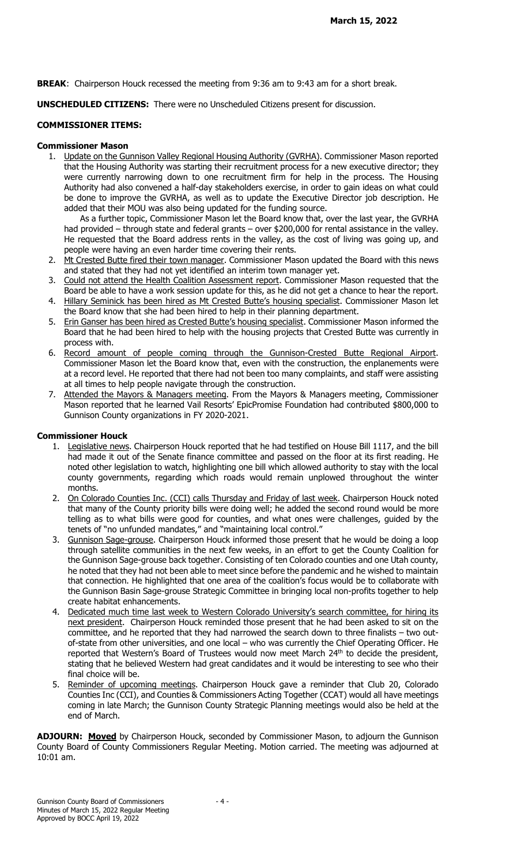BREAK: Chairperson Houck recessed the meeting from 9:36 am to 9:43 am for a short break.

UNSCHEDULED CITIZENS: There were no Unscheduled Citizens present for discussion.

### COMMISSIONER ITEMS:

### Commissioner Mason

1. Update on the Gunnison Valley Regional Housing Authority (GVRHA). Commissioner Mason reported that the Housing Authority was starting their recruitment process for a new executive director; they were currently narrowing down to one recruitment firm for help in the process. The Housing Authority had also convened a half-day stakeholders exercise, in order to gain ideas on what could be done to improve the GVRHA, as well as to update the Executive Director job description. He added that their MOU was also being updated for the funding source.

 As a further topic, Commissioner Mason let the Board know that, over the last year, the GVRHA had provided – through state and federal grants – over \$200,000 for rental assistance in the valley. He requested that the Board address rents in the valley, as the cost of living was going up, and people were having an even harder time covering their rents.

- 2. Mt Crested Butte fired their town manager. Commissioner Mason updated the Board with this news and stated that they had not yet identified an interim town manager yet.
- 3. Could not attend the Health Coalition Assessment report. Commissioner Mason requested that the Board be able to have a work session update for this, as he did not get a chance to hear the report.
- 4. Hillary Seminick has been hired as Mt Crested Butte's housing specialist. Commissioner Mason let the Board know that she had been hired to help in their planning department.
- 5. Erin Ganser has been hired as Crested Butte's housing specialist. Commissioner Mason informed the Board that he had been hired to help with the housing projects that Crested Butte was currently in process with.
- 6. Record amount of people coming through the Gunnison-Crested Butte Regional Airport. Commissioner Mason let the Board know that, even with the construction, the enplanements were at a record level. He reported that there had not been too many complaints, and staff were assisting at all times to help people navigate through the construction.
- 7. Attended the Mayors & Managers meeting. From the Mayors & Managers meeting, Commissioner Mason reported that he learned Vail Resorts' EpicPromise Foundation had contributed \$800,000 to Gunnison County organizations in FY 2020-2021.

# Commissioner Houck

- 1. Legislative news. Chairperson Houck reported that he had testified on House Bill 1117, and the bill had made it out of the Senate finance committee and passed on the floor at its first reading. He noted other legislation to watch, highlighting one bill which allowed authority to stay with the local county governments, regarding which roads would remain unplowed throughout the winter months.
- 2. On Colorado Counties Inc. (CCI) calls Thursday and Friday of last week. Chairperson Houck noted that many of the County priority bills were doing well; he added the second round would be more telling as to what bills were good for counties, and what ones were challenges, guided by the tenets of "no unfunded mandates," and "maintaining local control."
- 3. Gunnison Sage-grouse. Chairperson Houck informed those present that he would be doing a loop through satellite communities in the next few weeks, in an effort to get the County Coalition for the Gunnison Sage-grouse back together. Consisting of ten Colorado counties and one Utah county, he noted that they had not been able to meet since before the pandemic and he wished to maintain that connection. He highlighted that one area of the coalition's focus would be to collaborate with the Gunnison Basin Sage-grouse Strategic Committee in bringing local non-profits together to help create habitat enhancements.
- 4. Dedicated much time last week to Western Colorado University's search committee, for hiring its next president. Chairperson Houck reminded those present that he had been asked to sit on the committee, and he reported that they had narrowed the search down to three finalists – two outof-state from other universities, and one local – who was currently the Chief Operating Officer. He reported that Western's Board of Trustees would now meet March 24<sup>th</sup> to decide the president, stating that he believed Western had great candidates and it would be interesting to see who their final choice will be.
- 5. Reminder of upcoming meetings. Chairperson Houck gave a reminder that Club 20, Colorado Counties Inc (CCI), and Counties & Commissioners Acting Together (CCAT) would all have meetings coming in late March; the Gunnison County Strategic Planning meetings would also be held at the end of March.

ADJOURN: Moved by Chairperson Houck, seconded by Commissioner Mason, to adjourn the Gunnison County Board of County Commissioners Regular Meeting. Motion carried. The meeting was adjourned at 10:01 am.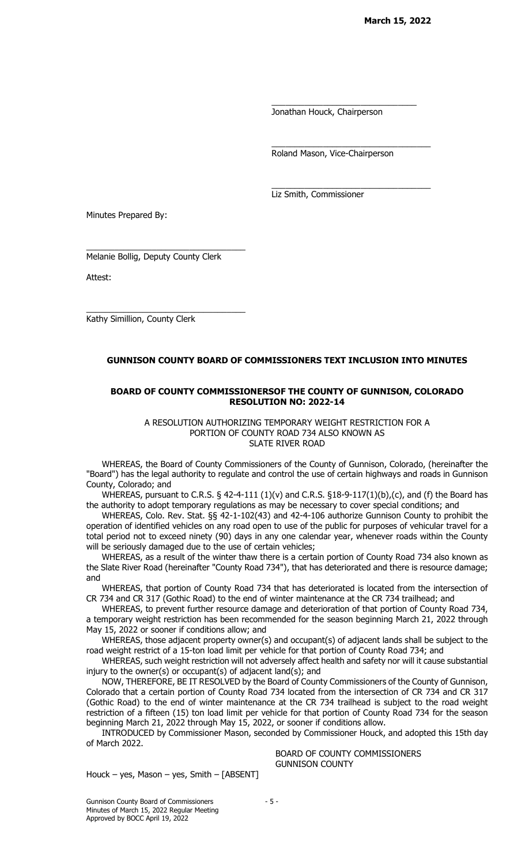Jonathan Houck, Chairperson

\_\_\_\_\_\_\_\_\_\_\_\_\_\_\_\_\_\_\_\_\_\_\_\_\_\_\_\_\_\_\_

\_\_\_\_\_\_\_\_\_\_\_\_\_\_\_\_\_\_\_\_\_\_\_\_\_\_\_\_\_\_\_\_\_\_

\_\_\_\_\_\_\_\_\_\_\_\_\_\_\_\_\_\_\_\_\_\_\_\_\_\_\_\_\_\_\_\_\_\_

Roland Mason, Vice-Chairperson

Liz Smith, Commissioner

Minutes Prepared By:

Melanie Bollig, Deputy County Clerk

\_\_\_\_\_\_\_\_\_\_\_\_\_\_\_\_\_\_\_\_\_\_\_\_\_\_\_\_\_\_\_\_\_\_

\_\_\_\_\_\_\_\_\_\_\_\_\_\_\_\_\_\_\_\_\_\_\_\_\_\_\_\_\_\_\_\_\_\_

Attest:

Kathy Simillion, County Clerk

# GUNNISON COUNTY BOARD OF COMMISSIONERS TEXT INCLUSION INTO MINUTES

### BOARD OF COUNTY COMMISSIONERSOF THE COUNTY OF GUNNISON, COLORADO RESOLUTION NO: 2022-14

A RESOLUTION AUTHORIZING TEMPORARY WEIGHT RESTRICTION FOR A PORTION OF COUNTY ROAD 734 ALSO KNOWN AS SLATE RIVER ROAD

WHEREAS, the Board of County Commissioners of the County of Gunnison, Colorado, (hereinafter the "Board") has the legal authority to regulate and control the use of certain highways and roads in Gunnison County, Colorado; and

WHEREAS, pursuant to C.R.S. § 42-4-111 (1)(v) and C.R.S. §18-9-117(1)(b),(c), and (f) the Board has the authority to adopt temporary regulations as may be necessary to cover special conditions; and

WHEREAS, Colo. Rev. Stat. §§ 42-1-102(43) and 42-4-106 authorize Gunnison County to prohibit the operation of identified vehicles on any road open to use of the public for purposes of vehicular travel for a total period not to exceed ninety (90) days in any one calendar year, whenever roads within the County will be seriously damaged due to the use of certain vehicles;

WHEREAS, as a result of the winter thaw there is a certain portion of County Road 734 also known as the Slate River Road (hereinafter "County Road 734"), that has deteriorated and there is resource damage; and

WHEREAS, that portion of County Road 734 that has deteriorated is located from the intersection of CR 734 and CR 317 (Gothic Road) to the end of winter maintenance at the CR 734 trailhead; and

WHEREAS, to prevent further resource damage and deterioration of that portion of County Road 734, a temporary weight restriction has been recommended for the season beginning March 21, 2022 through May 15, 2022 or sooner if conditions allow; and

WHEREAS, those adjacent property owner(s) and occupant(s) of adjacent lands shall be subject to the road weight restrict of a 15-ton load limit per vehicle for that portion of County Road 734; and

WHEREAS, such weight restriction will not adversely affect health and safety nor will it cause substantial injury to the owner(s) or occupant(s) of adjacent land(s); and

NOW, THEREFORE, BE IT RESOLVED by the Board of County Commissioners of the County of Gunnison, Colorado that a certain portion of County Road 734 located from the intersection of CR 734 and CR 317 (Gothic Road) to the end of winter maintenance at the CR 734 trailhead is subject to the road weight restriction of a fifteen (15) ton load limit per vehicle for that portion of County Road 734 for the season beginning March 21, 2022 through May 15, 2022, or sooner if conditions allow.

INTRODUCED by Commissioner Mason, seconded by Commissioner Houck, and adopted this 15th day of March 2022.

 BOARD OF COUNTY COMMISSIONERS GUNNISON COUNTY

Houck – yes, Mason – yes, Smith – [ABSENT]

Gunnison County Board of Commissioners - 5 -Minutes of March 15, 2022 Regular Meeting Approved by BOCC April 19, 2022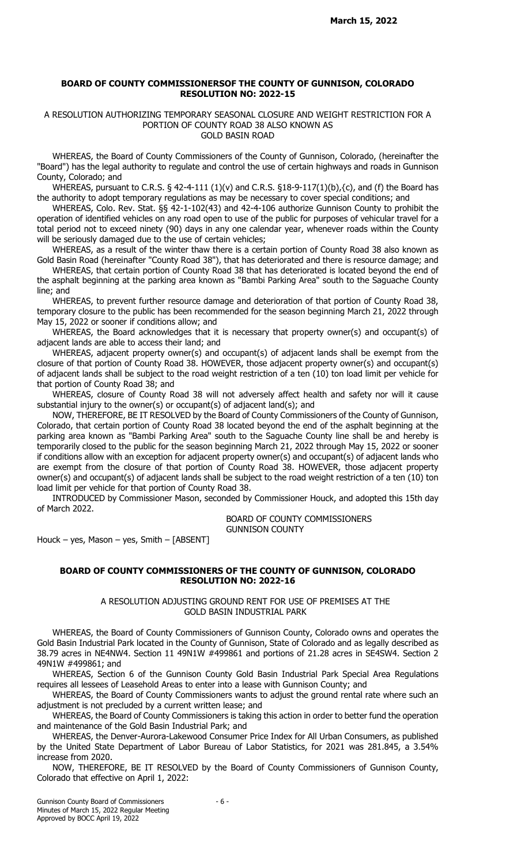### BOARD OF COUNTY COMMISSIONERSOF THE COUNTY OF GUNNISON, COLORADO RESOLUTION NO: 2022-15

#### A RESOLUTION AUTHORIZING TEMPORARY SEASONAL CLOSURE AND WEIGHT RESTRICTION FOR A PORTION OF COUNTY ROAD 38 ALSO KNOWN AS GOLD BASIN ROAD

WHEREAS, the Board of County Commissioners of the County of Gunnison, Colorado, (hereinafter the "Board") has the legal authority to regulate and control the use of certain highways and roads in Gunnison County, Colorado; and

WHEREAS, pursuant to C.R.S.  $\S$  42-4-111 (1)(v) and C.R.S.  $\S$ 18-9-117(1)(b), $\{\mathsf{c}\}$ , and (f) the Board has the authority to adopt temporary regulations as may be necessary to cover special conditions; and

WHEREAS, Colo. Rev. Stat. §§ 42-1-102(43) and 42-4-106 authorize Gunnison County to prohibit the operation of identified vehicles on any road open to use of the public for purposes of vehicular travel for a total period not to exceed ninety (90) days in any one calendar year, whenever roads within the County will be seriously damaged due to the use of certain vehicles;

WHEREAS, as a result of the winter thaw there is a certain portion of County Road 38 also known as Gold Basin Road (hereinafter "County Road 38"), that has deteriorated and there is resource damage; and

WHEREAS, that certain portion of County Road 38 that has deteriorated is located beyond the end of the asphalt beginning at the parking area known as "Bambi Parking Area" south to the Saguache County line; and

WHEREAS, to prevent further resource damage and deterioration of that portion of County Road 38, temporary closure to the public has been recommended for the season beginning March 21, 2022 through May 15, 2022 or sooner if conditions allow; and

WHEREAS, the Board acknowledges that it is necessary that property owner(s) and occupant(s) of adjacent lands are able to access their land; and

WHEREAS, adjacent property owner(s) and occupant(s) of adjacent lands shall be exempt from the closure of that portion of County Road 38. HOWEVER, those adjacent property owner(s) and occupant(s) of adjacent lands shall be subject to the road weight restriction of a ten (10) ton load limit per vehicle for that portion of County Road 38; and

WHEREAS, closure of County Road 38 will not adversely affect health and safety nor will it cause substantial injury to the owner(s) or occupant(s) of adjacent land(s); and

NOW, THEREFORE, BE IT RESOLVED by the Board of County Commissioners of the County of Gunnison, Colorado, that certain portion of County Road 38 located beyond the end of the asphalt beginning at the parking area known as "Bambi Parking Area" south to the Saguache County line shall be and hereby is temporarily closed to the public for the season beginning March 21, 2022 through May 15, 2022 or sooner if conditions allow with an exception for adjacent property owner(s) and occupant(s) of adjacent lands who are exempt from the closure of that portion of County Road 38. HOWEVER, those adjacent property owner(s) and occupant(s) of adjacent lands shall be subject to the road weight restriction of a ten (10) ton load limit per vehicle for that portion of County Road 38.

INTRODUCED by Commissioner Mason, seconded by Commissioner Houck, and adopted this 15th day of March 2022.

> BOARD OF COUNTY COMMISSIONERS GUNNISON COUNTY

Houck – yes, Mason – yes, Smith –  $[ABSENT]$ 

### BOARD OF COUNTY COMMISSIONERS OF THE COUNTY OF GUNNISON, COLORADO RESOLUTION NO: 2022-16

A RESOLUTION ADJUSTING GROUND RENT FOR USE OF PREMISES AT THE GOLD BASIN INDUSTRIAL PARK

WHEREAS, the Board of County Commissioners of Gunnison County, Colorado owns and operates the Gold Basin Industrial Park located in the County of Gunnison, State of Colorado and as legally described as 38.79 acres in NE4NW4. Section 11 49N1W #499861 and portions of 21.28 acres in SE4SW4. Section 2 49N1W #499861; and

WHEREAS, Section 6 of the Gunnison County Gold Basin Industrial Park Special Area Regulations requires all lessees of Leasehold Areas to enter into a lease with Gunnison County; and

WHEREAS, the Board of County Commissioners wants to adjust the ground rental rate where such an adjustment is not precluded by a current written lease; and

WHEREAS, the Board of County Commissioners is taking this action in order to better fund the operation and maintenance of the Gold Basin Industrial Park; and

WHEREAS, the Denver-Aurora-Lakewood Consumer Price Index for All Urban Consumers, as published by the United State Department of Labor Bureau of Labor Statistics, for 2021 was 281.845, a 3.54% increase from 2020.

NOW, THEREFORE, BE IT RESOLVED by the Board of County Commissioners of Gunnison County, Colorado that effective on April 1, 2022: